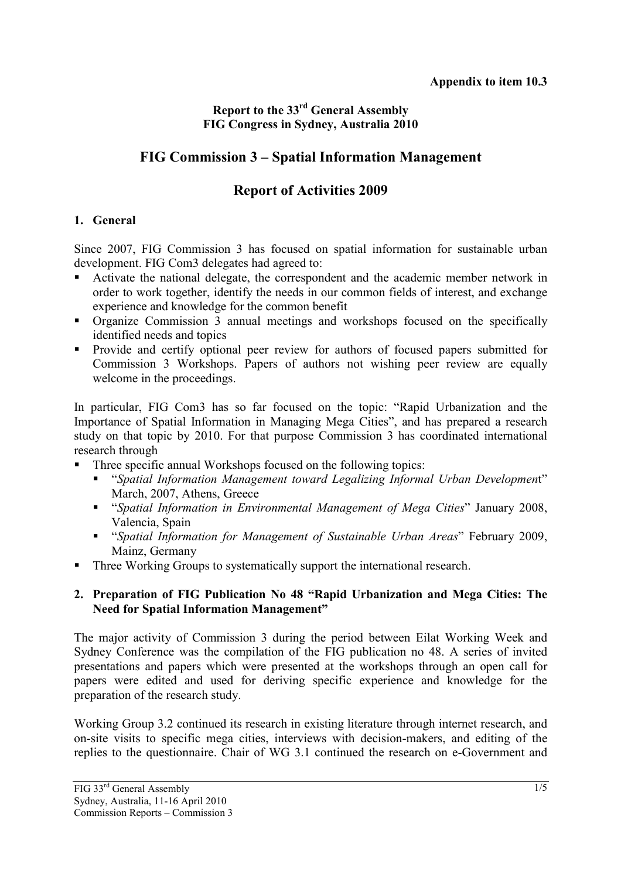# **Report to the 33rd General Assembly FIG Congress in Sydney, Australia 2010**

# **FIG Commission 3 – Spatial Information Management**

# **Report of Activities 2009**

## **1. General**

Since 2007, FIG Commission 3 has focused on spatial information for sustainable urban development. FIG Com3 delegates had agreed to:

- Activate the national delegate, the correspondent and the academic member network in order to work together, identify the needs in our common fields of interest, and exchange experience and knowledge for the common benefit
- Organize Commission 3 annual meetings and workshops focused on the specifically identified needs and topics
- **Provide and certify optional peer review for authors of focused papers submitted for** Commission 3 Workshops. Papers of authors not wishing peer review are equally welcome in the proceedings.

In particular, FIG Com3 has so far focused on the topic: "Rapid Urbanization and the Importance of Spatial Information in Managing Mega Cities", and has prepared a research study on that topic by 2010. For that purpose Commission 3 has coordinated international research through

- Three specific annual Workshops focused on the following topics:
	- "*Spatial Information Management toward Legalizing Informal Urban Developmen*t" March, 2007, Athens, Greece
	- "*Spatial Information in Environmental Management of Mega Cities*" January 2008, Valencia, Spain
	- "*Spatial Information for Management of Sustainable Urban Areas*" February 2009, Mainz, Germany
- Three Working Groups to systematically support the international research.

### **2. Preparation of FIG Publication No 48 "Rapid Urbanization and Mega Cities: The Need for Spatial Information Management"**

The major activity of Commission 3 during the period between Eilat Working Week and Sydney Conference was the compilation of the FIG publication no 48. A series of invited presentations and papers which were presented at the workshops through an open call for papers were edited and used for deriving specific experience and knowledge for the preparation of the research study.

Working Group 3.2 continued its research in existing literature through internet research, and on-site visits to specific mega cities, interviews with decision-makers, and editing of the replies to the questionnaire. Chair of WG 3.1 continued the research on e-Government and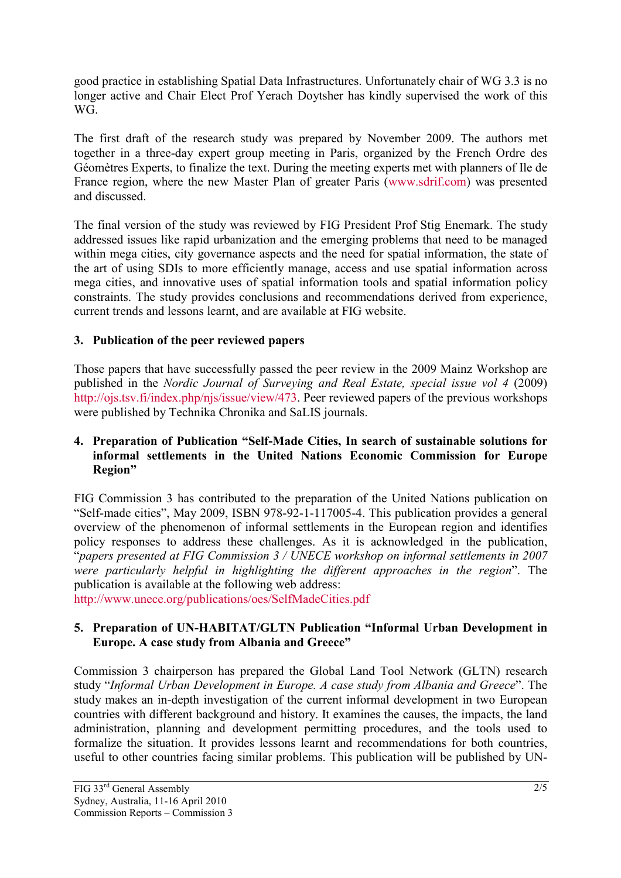good practice in establishing Spatial Data Infrastructures. Unfortunately chair of WG 3.3 is no longer active and Chair Elect Prof Yerach Doytsher has kindly supervised the work of this WG.

The first draft of the research study was prepared by November 2009. The authors met together in a three-day expert group meeting in Paris, organized by the French Ordre des Géomètres Experts, to finalize the text. During the meeting experts met with planners of Ile de France region, where the new Master Plan of greater Paris (www.sdrif.com) was presented and discussed.

The final version of the study was reviewed by FIG President Prof Stig Enemark. The study addressed issues like rapid urbanization and the emerging problems that need to be managed within mega cities, city governance aspects and the need for spatial information, the state of the art of using SDIs to more efficiently manage, access and use spatial information across mega cities, and innovative uses of spatial information tools and spatial information policy constraints. The study provides conclusions and recommendations derived from experience, current trends and lessons learnt, and are available at FIG website.

# **3. Publication of the peer reviewed papers**

Those papers that have successfully passed the peer review in the 2009 Mainz Workshop are published in the *Nordic Journal of Surveying and Real Estate, special issue vol 4* (2009) http://ojs.tsv.fi/index.php/njs/issue/view/473. Peer reviewed papers of the previous workshops were published by Technika Chronika and SaLIS journals.

#### **4. Preparation of Publication "Self-Made Cities, In search of sustainable solutions for informal settlements in the United Nations Economic Commission for Europe Region"**

FIG Commission 3 has contributed to the preparation of the United Nations publication on "Self-made cities", May 2009, ISBN 978-92-1-117005-4. This publication provides a general overview of the phenomenon of informal settlements in the European region and identifies policy responses to address these challenges. As it is acknowledged in the publication, "*papers presented at FIG Commission 3 / UNECE workshop on informal settlements in 2007 were particularly helpful in highlighting the different approaches in the region*". The publication is available at the following web address:

http://www.unece.org/publications/oes/SelfMadeCities.pdf

#### **5. Preparation of UN-HABITAT/GLTN Publication "Informal Urban Development in Europe. A case study from Albania and Greece"**

Commission 3 chairperson has prepared the Global Land Tool Network (GLTN) research study "*Informal Urban Development in Europe. A case study from Albania and Greece*". The study makes an in-depth investigation of the current informal development in two European countries with different background and history. It examines the causes, the impacts, the land administration, planning and development permitting procedures, and the tools used to formalize the situation. It provides lessons learnt and recommendations for both countries, useful to other countries facing similar problems. This publication will be published by UN-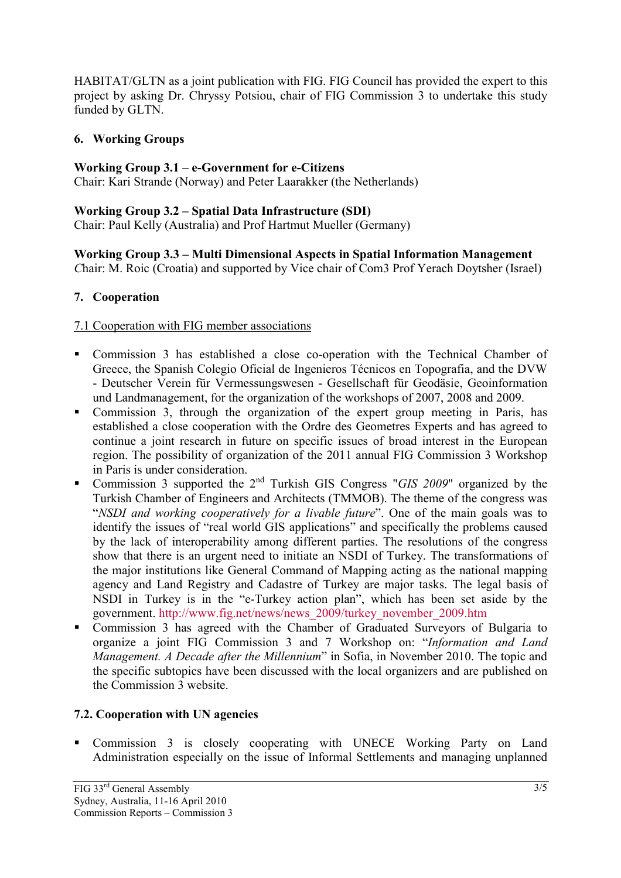HABITAT/GLTN as a joint publication with FIG. FIG Council has provided the expert to this project by asking Dr. Chryssy Potsiou, chair of FIG Commission 3 to undertake this study funded by GLTN.

#### **6. Working Groups**

#### **Working Group 3.1 – e-Government for e-Citizens**

Chair: Kari Strande (Norway) and Peter Laarakker (the Netherlands)

#### **Working Group 3.2 – Spatial Data Infrastructure (SDI)**

Chair: Paul Kelly (Australia) and Prof Hartmut Mueller (Germany)

#### **Working Group 3.3 – Multi Dimensional Aspects in Spatial Information Management**  *C*hair: M. Roic (Croatia) and supported by Vice chair of Com3 Prof Yerach Doytsher (Israel)

### **7. Cooperation**

### 7.1 Cooperation with FIG member associations

- Commission 3 has established a close co-operation with the Technical Chamber of Greece, the Spanish Colegio Oficial de Ingenieros Técnicos en Topografia, and the DVW - Deutscher Verein für Vermessungswesen - Gesellschaft für Geodäsie, Geoinformation und Landmanagement, for the organization of the workshops of 2007, 2008 and 2009.
- Commission 3, through the organization of the expert group meeting in Paris, has established a close cooperation with the Ordre des Geometres Experts and has agreed to continue a joint research in future on specific issues of broad interest in the European region. The possibility of organization of the 2011 annual FIG Commission 3 Workshop in Paris is under consideration.
- Commission 3 supported the 2nd Turkish GIS Congress "*GIS 2009*" organized by the Turkish Chamber of Engineers and Architects (TMMOB). The theme of the congress was "*NSDI and working cooperatively for a livable future*". One of the main goals was to identify the issues of "real world GIS applications" and specifically the problems caused by the lack of interoperability among different parties. The resolutions of the congress show that there is an urgent need to initiate an NSDI of Turkey. The transformations of the major institutions like General Command of Mapping acting as the national mapping agency and Land Registry and Cadastre of Turkey are major tasks. The legal basis of NSDI in Turkey is in the "e-Turkey action plan", which has been set aside by the government. http://www.fig.net/news/news\_2009/turkey\_november\_2009.htm
- Commission 3 has agreed with the Chamber of Graduated Surveyors of Bulgaria to organize a joint FIG Commission 3 and 7 Workshop on: "*Information and Land Management. A Decade after the Millennium*" in Sofia, in November 2010. The topic and the specific subtopics have been discussed with the local organizers and are published on the Commission 3 website.

### **7.2. Cooperation with UN agencies**

 Commission 3 is closely cooperating with UNECE Working Party on Land Administration especially on the issue of Informal Settlements and managing unplanned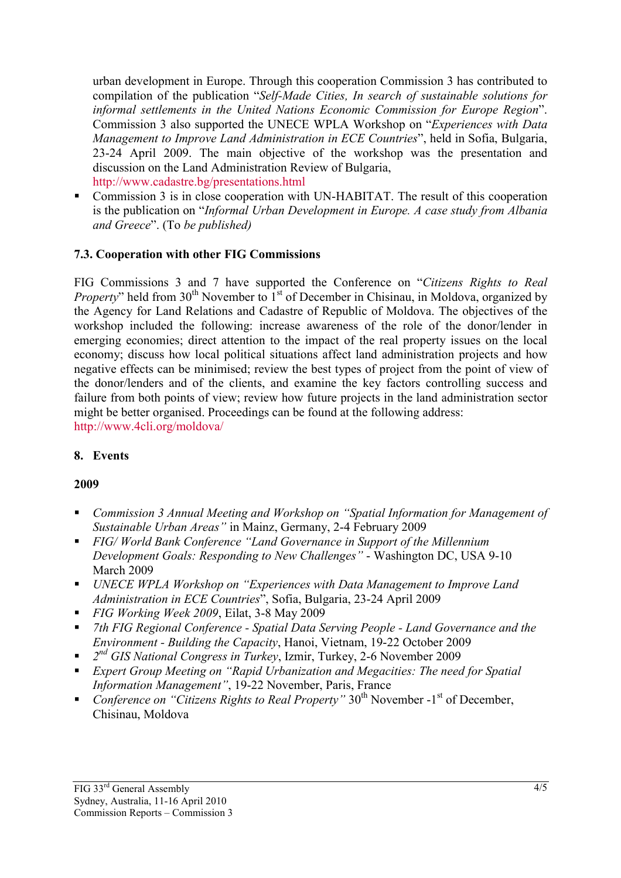urban development in Europe. Through this cooperation Commission 3 has contributed to compilation of the publication "*Self-Made Cities, In search of sustainable solutions for informal settlements in the United Nations Economic Commission for Europe Region*". Commission 3 also supported the UNECE WPLA Workshop on "*Experiences with Data Management to Improve Land Administration in ECE Countries*", held in Sofia, Bulgaria, 23-24 April 2009. The main objective of the workshop was the presentation and discussion on the Land Administration Review of Bulgaria, http://www.cadastre.bg/presentations.html

 Commission 3 is in close cooperation with UN-HABITAT. The result of this cooperation is the publication on "*Informal Urban Development in Europe. A case study from Albania and Greece*". (To *be published)* 

### **7.3. Cooperation with other FIG Commissions**

FIG Commissions 3 and 7 have supported the Conference on "*Citizens Rights to Real Property*" held from 30<sup>th</sup> November to 1<sup>st</sup> of December in Chisinau, in Moldova, organized by the Agency for Land Relations and Cadastre of Republic of Moldova. The objectives of the workshop included the following: increase awareness of the role of the donor/lender in emerging economies; direct attention to the impact of the real property issues on the local economy; discuss how local political situations affect land administration projects and how negative effects can be minimised; review the best types of project from the point of view of the donor/lenders and of the clients, and examine the key factors controlling success and failure from both points of view; review how future projects in the land administration sector might be better organised. Proceedings can be found at the following address: http://www.4cli.org/moldova/

#### **8. Events**

#### **2009**

- *Commission 3 Annual Meeting and Workshop on "Spatial Information for Management of Sustainable Urban Areas"* in Mainz, Germany, 2-4 February 2009
- *FIG/ World Bank Conference "Land Governance in Support of the Millennium Development Goals: Responding to New Challenges"* - Washington DC, USA 9-10 March 2009
- *UNECE WPLA Workshop on "Experiences with Data Management to Improve Land Administration in ECE Countries*", Sofia, Bulgaria, 23-24 April 2009
- *FIG Working Week 2009*, Eilat, 3-8 May 2009
- *7th FIG Regional Conference Spatial Data Serving People Land Governance and the Environment - Building the Capacity*, Hanoi, Vietnam, 19-22 October 2009
- *2nd GIS National Congress in Turkey*, Izmir, Turkey, 2-6 November 2009
- *Expert Group Meeting on "Rapid Urbanization and Megacities: The need for Spatial Information Management"*, 19-22 November, Paris, France
- *Conference on "Citizens Rights to Real Property"* 30<sup>th</sup> November -1<sup>st</sup> of December, Chisinau, Moldova